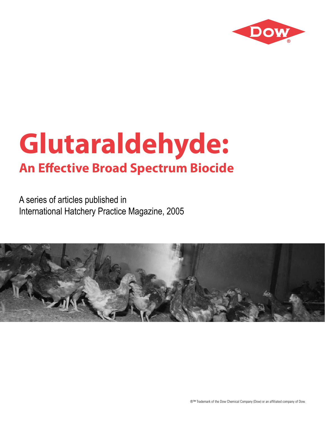

A series of articles published in International Hatchery Practice Magazine, 2005

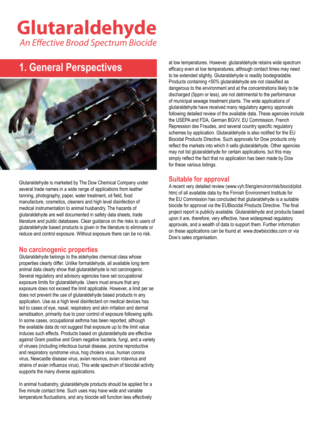### **1. General Perspectives**



Glutaraldehyde is marketed by The Dow Chemical Company under several trade names in a wide range of applications from leather tanning, photography, paper, water treatment, oil field, food manufacture, cosmetics, cleaners and high level disinfection of medical instrumentation to animal husbandry. The hazards of glutaraldehyde are well documented in safety data sheets, trade literature and public databases. Clear guidance on the risks to users of glutaraldehyde based products is given in the literature to eliminate or reduce and control exposure. Without exposure there can be no risk.

### **No carcinogenic properties**

Glutaraldehyde belongs to the aldehydes chemical class whose properties clearly differ. Unlike formaldehyde, all available long term animal data clearly show that glutaraldehyde is not carcinogenic. Several regulatory and advisory agencies have set occupational exposure limits for glutaraldehyde. Users must ensure that any exposure does not exceed the limit applicable. However, a limit per se does not prevent the use of glutaraldehyde based products in any application. Use as a high level disinfectant on medical devices has led to cases of eye, nasal, respiratory and skin irritation and dermal sensitisation, primarily due to poor control of exposure following spills. In some cases, occupational asthma has been reported, although the available data do not suggest that exposure up to the limit value induces such effects. Products based on glutaraldehyde are effective against Gram positive and Gram negative bacteria, fungi, and a variety of viruses (including infectious bursal disease, porcine reproductive and respiratory syndrome virus, hog cholera virus, human corona virus, Newcastle disease virus, avian reovirus, avian rotavirus and strains of avian influenza virus). This wide spectrum of biocidal activity supports the many diverse applications.

In animal husbandry, glutaraldehyde products should be applied for a five minute contact time. Such uses may have wide and variable temperature fluctuations, and any biocide will function less effectively

at low temperatures. However, glutaraldehyde retains wide spectrum efficacy even at low temperatures, although contact times may need to be extended slightly. Glutaraldehyde is readily biodegradable. Products containing <50% glutaraldehyde are not classified as dangerous to the environment and at the concentrations likely to be discharged (5ppm or less), are not detrimental to the performance of municipal sewage treatment plants. The wide applications of glutaraldehyde have received many regulatory agency approvals following detailed review of the available data. These agencies include the USEPA and FDA, German BGVV, EU Commission, French Repression des Fraudes, and several country specific regulatory schemes by application. Glutaraldehyde is also notified for the EU Biocidal Products Directive. Such approvals for Dow products only reflect the markets into which it sells glutaraldehyde. Other agencies may not list glutaraldehyde for certain applications, but this may simply reflect the fact that no application has been made by Dow for these various listings.

### **Suitable for approval**

A recent very detailed review (www.vyh.fi/eng/environ/risk/biocid/pilot. htm) of all available data by the Finnish Environment Institute for the EU Commission has concluded that glutaraldehyde is a suitable biocide for approval via the EUBiocidal Products Directive. The final project report is publicly available. Glutaraldehyde and products based upon it are, therefore, very effective, have widespread regulatory approvals, and a wealth of data to support them. Further information on these applications can be found at www.dowbiocides.com or via Dow's sales organisation.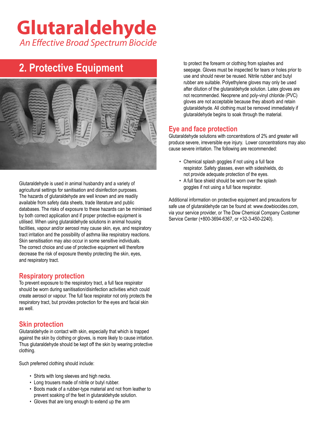### **2. Protective Equipment**



Glutaraldehyde is used in animal husbandry and a variety of agricultural settings for sanitisation and disinfection purposes. The hazards of glutaraldehyde are well known and are readily available from safety data sheets, trade literature and public databases. The risks of exposure to these hazards can be minimised by both correct application and if proper protective equipment is utilised. When using glutaraldehyde solutions in animal housing facilities, vapour and/or aerosol may cause skin, eye, and respiratory tract irritation and the possibility of asthma like respiratory reactions. Skin sensitisation may also occur in some sensitive individuals. The correct choice and use of protective equipment will therefore decrease the risk of exposure thereby protecting the skin, eyes, and respiratory tract.

### **Respiratory protection**

To prevent exposure to the respiratory tract, a full face respirator should be worn during sanitisation/disinfection activities which could create aerosol or vapour. The full face respirator not only protects the respiratory tract, but provides protection for the eyes and facial skin as well.

### **Skin protection**

Glutaraldehyde in contact with skin, especially that which is trapped against the skin by clothing or gloves, is more likely to cause irritation. Thus glutaraldehyde should be kept off the skin by wearing protective clothing.

Such preferred clothing should include:

- Shirts with long sleeves and high necks.
- Long trousers made of nitrile or butyl rubber.
- Boots made of a rubber-type material and not from leather to prevent soaking of the feet in glutaraldehyde solution.
- Gloves that are long enough to extend up the arm

 to protect the forearm or clothing from splashes and seepage. Gloves must be inspected for tears or holes prior to use and should never be reused. Nitrile rubber and butyl rubber are suitable. Polyethylene gloves may only be used after dilution of the glutaraldehyde solution. Latex gloves are not recommended. Neoprene and poly-vinyl chloride (PVC) gloves are not acceptable because they absorb and retain glutaraldehyde. All clothing must be removed immediately if glutaraldehyde begins to soak through the material.

### **Eye and face protection**

Glutaraldehyde solutions with concentrations of 2% and greater will produce severe, irreversible eye injury. Lower concentrations may also cause severe irritation. The following are recommended:

- Chemical splash goggles if not using a full face respirator. Safety glasses, even with sideshields, do not provide adequate protection of the eyes.
- A full face shield should be worn over the splash goggles if not using a full face respirator.

Additional information on protective equipment and precautions for safe use of glutaraldehyde can be found at: www.dowbiocides.com, via your service provider, or The Dow Chemical Company Customer Service Center (+800-3694-6367, or +32-3-450-2240).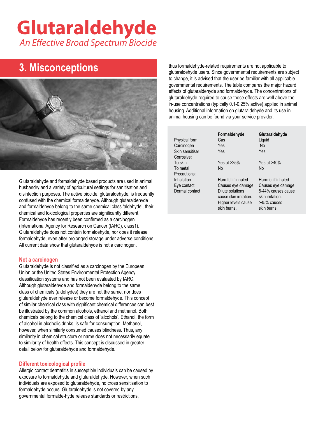### **3. Misconceptions**



Glutaraldehyde and formaldehyde based products are used in animal husbandry and a variety of agricultural settings for sanitisation and disinfection purposes. The active biocide, glutaraldehyde, is frequently confused with the chemical formaldehyde. Although glutaraldehyde and formaldehyde belong to the same chemical class 'aldehyde', their chemical and toxicological properties are significantly different. Formaldehyde has recently been confirmed as a carcinogen (International Agency for Research on Cancer (IARC), class1). Glutaraldehyde does not contain formaldehyde, nor does it release formaldehyde, even after prolonged storage under adverse conditions. All current data show that glutaraldehyde is not a carcinogen.

#### **Not a carcinogen**

Glutaraldehyde is not classified as a carcinogen by the European Union or the United States Environmental Protection Agency classification systems and has not been evaluated by IARC. Although glutaraldehyde and formaldehyde belong to the same class of chemicals (aldehydes) they are not the same, nor does glutaraldehyde ever release or become formaldehyde. This concept of similar chemical class with significant chemical differences can best be illustrated by the common alcohols, ethanol and methanol. Both chemicals belong to the chemical class of 'alcohols'. Ethanol, the form of alcohol in alcoholic drinks, is safe for consumption. Methanol, however, when similarly consumed causes blindness. Thus, any similarity in chemical structure or name does not necessarily equate to similarity of health effects. This concept is discussed in greater detail below for glutaraldehyde and formaldehyde.

#### **Different toxicological profile**

Allergic contact dermatitis in susceptible individuals can be caused by exposure to formaldehyde and glutaraldehyde. However, when such individuals are exposed to glutaraldehyde, no cross sensitisation to formaldehyde occurs. Glutaraldehyde is not covered by any governmental formalde-hyde release standards or restrictions,

thus formaldehyde-related requirements are not applicable to glutaraldehyde users. Since governmental requirements are subject to change, it is advised that the user be familiar with all applicable governmental requirements. The table compares the major hazard effects of glutaraldehyde and formaldehyde. The concentrations of glutaraldehyde required to cause these effects are well above the in-use concentrations (typically 0.1-0.25% active) applied in animal housing. Additional information on glutaraldehyde and its use in animal housing can be found via your service provider.

| Physical form<br>Carcinogen<br>Skin sensitiser<br>Corrosive: | Formaldehyde<br>Gas<br>Yes<br>Yes                                                                                           | Glutaraldehyde<br>Liquid<br>No.<br>Yes                                                                          |
|--------------------------------------------------------------|-----------------------------------------------------------------------------------------------------------------------------|-----------------------------------------------------------------------------------------------------------------|
| To skin<br>To metal<br>Precautions:                          | Yes at $>25\%$<br>No                                                                                                        | Yes at $>40\%$<br>No.                                                                                           |
| Inhalation<br>Eye contact<br>Dermal contact                  | Harmful if inhaled<br>Causes eye damage<br>Dilute solutions<br>cause skin irritation.<br>Higher levels cause<br>skin burns. | Harmful if inhaled<br>Causes eye damage<br>5-44% causes cause<br>skin irritation.<br>>45% causes<br>skin burns. |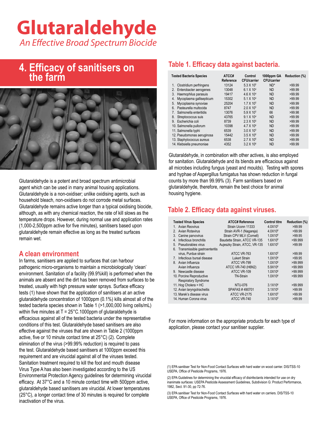### **4. Efficacy of sanitisers on the farm**



Glutaraldehyde is a potent and broad spectrum antimicrobial agent which can be used in many animal housing applications. Glutaraldehyde is a non-oxidiser; unlike oxidising agents, such as household bleach, non-oxidisers do not corrode metal surfaces. Glutaraldehyde remains active longer than a typical oxidising biocide, although, as with any chemical reaction, the rate of kill slows as the temperature drops. However, during normal use and application rates (1,000-2,500ppm active for five minutes), sanitisers based upon glutaraldehyde remain effective as long as the treated surfaces remain wet.

### **A clean environment**

In farms, sanitisers are applied to surfaces that can harbour pathogenic micro-organisms to maintain a microbiologically 'clean' environment. Sanitation of a facility (99.9%kill) is performed when the animals are absent and the dirt has been removed from surfaces to be treated, usually with high pressure water sprays. Surface efficacy tests (1) have shown that the application of sanitisers at an active glutaraldehyde concentration of 1000ppm (0.1%) kills almost all of the tested bacteria species shown in Table 1 (>1,000,000 living cells/mL) within five minutes at  $T = 25^{\circ}$ C.1000ppm of glutaraldehyde is efficacious against all of the tested bacteria under the representative conditions of this test. Glutaraldehyde based sanitisers are also effective against the viruses that are shown in Table 2 (1000ppm active, five or 10 minute contact time at 25°C) (2). Complete elimination of the virus (>99.99% reduction) is required to pass the test. Glutaraldehyde based sanitisers at 1000ppm exceed this requirement and are virucidal against all of the viruses tested. Sanitation treatment required to kill the foot and mouth disease Virus Type A has also been investigated according to the US Environmental Protection Agency guidelines for determining virucidal efficacy. At 37°C and a 10 minute contact time with 500ppm active, glutaraldehyde based sanitisers are virucidal. At lower temperatures (25°C), a longer contact time of 30 minutes is required for complete inactivation of the virus.

### **Table 1. Efficacy data against bacteria.**

| <b>Tested Bacteria Species</b> | ATCC#<br>Reference | Control<br><b>CFU/carrier</b> | 1000ppm GA<br><b>CFU/carrier</b> | Reduction (%) |
|--------------------------------|--------------------|-------------------------------|----------------------------------|---------------|
| Clostridium perfringens<br>1.  | 13124              | 5.3 X 10 <sup>5</sup>         | $ND^*$                           | >99.99        |
| Enterobacter aerogenes<br>2.   | 13048              | 6.1 X 10 <sup>4</sup>         | <b>ND</b>                        | >99.99        |
| Haemophilus parasuis<br>3.     | 19417              | 4.6 X 10 <sup>4</sup>         | <b>ND</b>                        | >99.99        |
| Mycoplasma gallisepticum<br>4. | 15302              | $5.1 \times 10^{4}$           | <b>ND</b>                        | >99.99        |
| Mycoplasma synoviae<br>5.      | 25204              | $1.7 \times 10^{5}$           | <b>ND</b>                        | >99.99        |
| Pasteurella multocida<br>6.    | 8747               | $2.0 \times 10^{5}$           | <b>ND</b>                        | >99.99        |
| Salmonella enteritidis<br>7.   | 13076              | 5.9 X 10 <sup>5</sup>         | 66                               | >99.98        |
| Streptococcus suis<br>8.       | 43765              | $9.1 \times 10^{4}$           | <b>ND</b>                        | >99.99        |
| Escherichia coli<br>9.         | 8739               | $2.3 \times 10^{5}$           | <b>ND</b>                        | >99.99        |
| 10. Salmonella pullorum        | 10398              | 4.7 X 10 <sup>6</sup>         | <b>ND</b>                        | >99.99        |
| 11. Salmonella typhi           | 6539               | $3.0 \times 10^{5}$           | <b>ND</b>                        | >99.99        |
| 12. Pseudomonas aeruginosa     | 15442              | $3.5 X 10^6$                  | <b>ND</b>                        | >99.99        |
| 13. Staphylococcus aureus      | 6538               | 2.7 X 10 <sup>6</sup>         | <b>ND</b>                        | >99.99        |
| 14. Klebsiella pneumoniae      | 4352               | $3.2 \times 10^6$             | <b>ND</b>                        | >99.99        |

Glutaraldehyde, in combination with other actives, is also employed for sanitation. Glutaraldehyde and its blends are efficacious against all microbes including fungus (yeast and moulds). Testing with spores and hyphae of Aspergillus fumigatus has shown reduction in fungal counts by more than 99.99% (3). Farm sanitisers based on glutaraldehyde, therefore, remain the best choice for animal housing hygiene.

### **Table 2. Efficacy data against viruses.**

| <b>Tested Virus Species</b>                 | <b>ATCC# Reference</b>        | <b>Control titre</b> | Reduction (%) |
|---------------------------------------------|-------------------------------|----------------------|---------------|
| Avian Reovirus<br>1                         | Strain Uconn 11333            | 4.0X10 <sup>5</sup>  | >99.99        |
| <b>Avian Rotavirus</b><br>$\mathcal{P}$     | Strain AVR-1 (Nagareja)       | 4.0X10 <sup>6</sup>  | >99.99        |
| Canine parvovirus<br>3.                     | Strain CPV MLV (Cornell)      | 1.0X10 <sup>6</sup>  | >99.95        |
| Infectious bronchitis<br>4.                 | Baudette Strain, ATCC VR-135  | 1.6X10 <sup>6</sup>  | >99.999       |
| Pseudorabies virus<br>5                     | Aujeszky Strain, ATCC, VR-135 | 1.6X10 <sup>5</sup>  | >99.99        |
| Transmissible gastroenteritis<br>6.         |                               |                      |               |
| virus, Purdue strain                        | ATCC VR-763                   | 1.6X10 <sup>5</sup>  | >99.99        |
| Infectious bursal disease<br>7 <sub>1</sub> | <b>Lukert Strain</b>          | $1.0X10^{6}$         | >99.95        |
| Avian Influenza<br>8                        | ATCC VR-799                   | 1.0X10 <sup>6</sup>  | >99.999       |
| Avian Influenza                             | ATCC VR-740 (H6N2)            | 5.9X10 <sup>6</sup>  | >99.999       |
| 9. Newcastle disease                        | ATCC VR-109                   | $1.0X10^{6}$         | >99.999       |
| 10. Porcine Reproductive                    | <b>TN-Strain</b>              | 1.0X10 <sup>6</sup>  | >99.999       |
| <b>Respiratory Syndrome</b>                 |                               |                      |               |
| 11. Hog Cholera = HC                        | <b>NTU-076</b>                | 3.1X10 <sup>6</sup>  | >99.999       |
| 12. Avian laryngotracheitis                 | SPAFAS #490701                | 3.1X10 <sup>5</sup>  | >99.99        |
| 13. Marek's disease virus                   | <b>ATCC VR-2175</b>           | $1.6X10^{5}$         | >99.99        |
| 14. Human Corona virus                      | ATCC VR-740                   | 3.1X10 <sup>5</sup>  | >99.99        |

For more information on the appropriate products for each type of application, please contact your sanitiser supplier.

(1) EPA sanitiser Test for Non-Food Contact Surfaces with hard water on wood carrier. DIS/TSS-10 USEPA, Office of Pesticide Programs, 1976.

(2) EPA Guidelines for determining the virucidal efficacy of disinfectants intended for use on dry inanimate surfaces: USEPA Pesticide Assessment Guidelines, Subdivision G: Product Performance, 1982, Sect. 91-30, pp 72-76.

(3) EPA sanitiser Test for Non-Food Contact Surfaces with hard water on carriers. DIS/TSS-10 USEPA, Office of Pesticide Programs, 1976.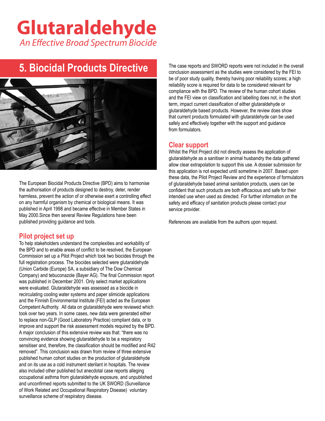### **5. Biocidal Products Directive**



The European Biocidal Products Directive (BPD) aims to harmonise the authorisation of products designed to destroy, deter, render harmless, prevent the action of or otherwise exert a controlling effect on any harmful organism by chemical or biological means. It was published in April 1998 and became effective in Member States in May 2000.Since then several Review Regulations have been published providing guidance and tools.

#### **Pilot project set up**

To help stakeholders understand the complexities and workability of the BPD and to enable areas of conflict to be resolved, the European Commission set up a Pilot Project which took two biocides through the full registration process. The biocides selected were glutaraldehyde (Union Carbide (Europe) SA, a subsidiary of The Dow Chemical Company) and tebuconazole (Bayer AG). The final Commission report was published in December 2001. Only select market applications were evaluated. Glutaraldehyde was assessed as a biocide in recirculating cooling water systems and paper slimicide applications and the Finnish Environmental Institute (FEI) acted as the European Competent Authority. All data on glutaraldehyde were reviewed which took over two years. In some cases, new data were generated either to replace non-GLP (Good Laboratory Practice) compliant data, or to improve and support the risk assessment models required by the BPD. A major conclusion of this extensive review was that: "there was no convincing evidence showing glutaraldehyde to be a respiratory sensitiser and, therefore, the classification should be modified and R42 removed". This conclusion was drawn from review of three extensive published human cohort studies on the production of glutaraldehyde and on its use as a cold instrument sterilant in hospitals. The review also included other published but anecdotal case reports alleging occupational asthma from glutaraldehyde exposure, and unpublished and unconfirmed reports submitted to the UK SWORD (Surveillance of Work Related and Occupational Respiratory Disease) voluntary surveillance scheme of respiratory disease.

The case reports and SWORD reports were not included in the overall conclusion assessment as the studies were considered by the FEI to be of poor study quality, thereby having poor reliability scores; a high reliability score is required for data to be considered relevant for compliance with the BPD. The review of the human cohort studies and the FEI view on classification and labelling does not, in the short term, impact current classification of either glutaraldehyde or glutaraldehyde based products. However, the review does show that current products formulated with glutaraldehyde can be used safely and effectively together with the support and guidance from formulators.

#### **Clear support**

Whilst the Pilot Project did not directly assess the application of glutaraldehyde as a sanitiser in animal husbandry the data gathered allow clear extrapolation to support this use. A dossier submission for this application is not expected until sometime in 2007. Based upon these data, the Pilot Project Review and the experience of formulators of glutaraldehyde based animal sanitation products, users can be confident that such products are both efficacious and safe for their intended use when used as directed. For further information on the safety and efficacy of sanitation products please contact your service provider.

References are available from the authors upon request.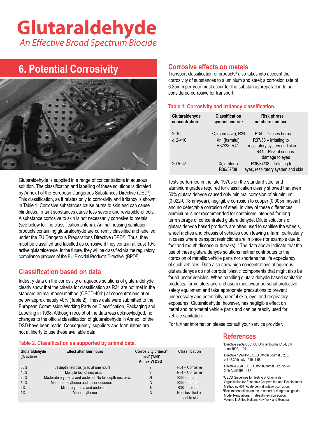### **6. Potential Corrosivity**



Glutaraldehyde is supplied in a range of concentrations in aqueous solution. The classification and labelling of these solutions is dictated obdition: The elabormetric individually of these solutions is distanced<br>by Annex I of the European Dangerous Substances Directive (DSD<sup>1</sup>). 50% olutarald This classification, as it relates only to corrosivity and irritancy is shown in Table 1. Corrosive substances cause burns to skin and can cause blindness. Irritant substances cause less severe and reversible effects. A substance corrosive to skin is not necessarily corrosive to metals (see below for the classification criteria). Animal housing sanitation products containing glutaraldehyde are currently classified and labelled under the EU Dangerous Preparations Directive (DPD<sup>2</sup>). Thus, they must be classified and labelled as corrosive if they contain at least 10% active glutaraldehyde. In the future, they will be classified via the regulatory compliance process of the EU Biocidal Products Directive, (BPD<sup>3</sup> ).

### **Classification based on data**

Industry data on the corrosivity of aqueous solutions of glutaraldehyde clearly show that the criteria for classification as R34 are not met in the standard animal model method (OECD 404<sup>4</sup>) at concentrations at or below approximately 40% (Table 2). These data were submitted to the European Commission Working Party on Classification, Packaging and Labelling in 1998. Although receipt of the data was acknowledged, no changes to the official classification of glutaraldehyde in Annex I of the DSD have been made. Consequently, suppliers and formulators are not at liberty to use these available data.

#### **Table 2. Classification as supported by animal data.**

| Glutaraldehyde | <b>Effect after four hours</b>                                                      | Corrosivity criteria*          | <b>Classification</b>                                     | June 1992, 1-29.                                                                                                                                                     |
|----------------|-------------------------------------------------------------------------------------|--------------------------------|-----------------------------------------------------------|----------------------------------------------------------------------------------------------------------------------------------------------------------------------|
| (% active)     |                                                                                     | met? $(Y/N)^*$<br>Annex VI DSD |                                                           | <sup>2</sup> Directive 1999/45/EC. EU Official Journal L 200,<br>vol 42,30th July 1999, 1-68.                                                                        |
| 50%            | Full depth necrosis (also at one hour)                                              |                                | R <sub>34</sub> – Corrosive                               | <sup>3</sup> Directive 98/8 EC. EU Official Journal L123 vol 41,<br>24th April 1998, 1-63.                                                                           |
| 45%<br>25%     | Multiple foci of necrosis.<br>Moderate erythema and oedema. No full depth necrosis. | N                              | R <sub>34</sub> – Corrosive<br>R <sub>38</sub> - Irritant | <sup>4</sup> OECD Guidelines for Testing of Chemicals.                                                                                                               |
| 10%            | Moderate erythema and minor oedema.                                                 | Ν                              | R <sub>38</sub> - Irritant                                | Organisation for Economic Cooperation and Development.                                                                                                               |
| 2%             | Minor erythema and oedema                                                           | N                              | R <sub>38</sub> - Irritant                                | Method no 404. Acute dermal irritation/corrosion.                                                                                                                    |
| 1%             | Minor ervthema                                                                      | N                              | Not classified as<br>irritant to skin                     | <sup>5</sup> Recommendations on the transport of dangerous goods.<br>Model Regulations. Thirteenth revision edition.<br>Volume L. Hoited Nations New York and Geneva |

#### **Corrosive effects on metals**

Transport classification of products<sup>5</sup> also takes into account the corrosivity of substances to aluminium and steel; a corrosion rate of 6.25mm per year must occur for the substance/preparation to be considered corrosive for transport.

#### **Table 1. Corrosivity and irritancy classification.**

| Glutaraldehyde<br>concentration | <b>Classification</b><br>symbol and risk            | <b>Risk phrase</b><br>numbers and text                                                                             |
|---------------------------------|-----------------------------------------------------|--------------------------------------------------------------------------------------------------------------------|
| $\geq 10$<br>$\geq$ 2-<10       | C, (corrosive), R34<br>Xn, (harmful)<br>R37/38, R41 | R <sub>34</sub> – Causes burns<br>$R37/38$ – Irritating to<br>respiratory system and skin<br>R41 - Risk of serious |
| $≥0.5 - < 2$                    | Xi, (irritant)<br>R36/37/38                         | damage to eyes<br>$R36/37/38$ – Irritating to<br>eyes, respiratory system and skin                                 |

Tests performed in the late 1970s on the standard steel and aluminium grades required for classification clearly showed that even ctive (DSD<sup>-</sup>). 50% glutaraldehyde caused only minimal corrosion of aluminium (0.022-0.18mm/year), negligible corrosion to copper (0.005mm/year) and no detectable corrosion of steel. In view of these differences, aluminium is not recommended for containers intended for longterm storage of concentrated glutaraldehyde. Dilute solutions of glutaraldehyde based products are often used to sanitise the wheels, wheel arches and chassis of vehicles upon leaving a farm, particularly in cases where transport restrictions are in place (for example due to foot and mouth disease outbreaks). ' The data above indicate that the use of these glutaraldehyde solutions neither contributes to the corrosion of metallic vehicle parts nor shortens the life expectancy of such vehicles. Data also show high concentrations of aqueous glutaraldehyde do not corrode 'plastic' components that might also be found under vehicles. When handling glutaraldehyde based sanitation products, formulators and end users must wear personal protective safety equipment and take appropriate precautions to prevent unnecessary and potentially harmful skin, eye, and respiratory exposures. Glutaraldehyde, however, has negligible effect on metal and non-metal vehicle parts and can be readily used for vehicle sanitation. deste betton

For further information please consult your service provider.

#### **References**

glutaraldehyde Effect after four hours Corrosivity criteria<sup>s cri</sup>teria<sup>s cri</sup>teria<sup>s cri</sup>teria<sup>s cri</sup>teria<sup>s cr</sup>iteria<sup>s cr</sup>iteria<sup>s cr</sup>iteria<sup>s cr</sup>iteria<sup>s cr</sup>iterias criteria criteria criteria criteria criteria criteria vol 42,30th July 1999, 1-68. 1 Directive 92/32/EEC. EU Official Journal L154, 5th June 1992, 1-29. 24th April1998, 1-63.

Volume I. United Nations New York and Geneva. Method no 404. Acute dermal irritation/corrosion.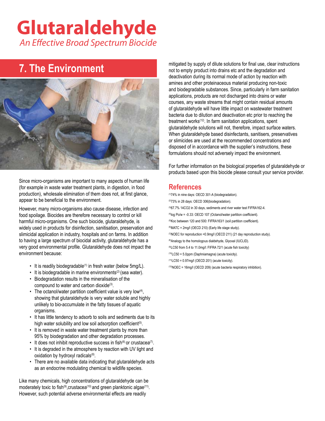### **7. The Environment**



Since micro-organisms are important to many aspects of human life (for example in waste water treatment plants, in digestion, in food production), wholesale elimination of them does not, at first glance, appear to be beneficial to the environment.

However, many micro-organisms also cause disease, infection and food spoilage. Biocides are therefore necessary to control or kill harmful micro-organisms. One such biocide, glutaraldehyde, is widely used in products for disinfection, sanitisation, preservation and slimicidal application in industry, hospitals and on farms. In addition to having a large spectrum of biocidal activity, glutaraldehyde has a very good environmental profile. Glutaraldehyde does not impact the environment because:

- It is readily biodegradable<sup>(1)</sup> in fresh water (below 5mg/L).
- $\cdot$  It is biodegradable in marine environments<sup>(2)</sup> (sea water).
- • Biodegradation results in the mineralisation of the compound to water and carbon dioxide<sup>(3)</sup>.
- The octanol/water partition coefficient value is very low(4), showing that glutaraldehyde is very water soluble and highly unlikely to bio-accumulate in the fatty tissues of aquatic organisms.
- It has little tendency to adsorb to soils and sediments due to its high water solubility and low soil adsorption coefficient<sup>(5)</sup>.
- It is removed in waste water treatment plants by more than 95% by biodegradation and other degradation processes.
- It does not inhibit reproductive success in fish $(6)$  or crustacea $(7)$ .
- It is degraded in the atmosphere by reaction with UV light and oxidation by hydroxyl radicals<sup>(8)</sup>.
- There are no available data indicating that glutaraldehyde acts as an endocrine modulating chemical to wildlife species.

Like many chemicals, high concentrations of glutaraldehyde can be moderately toxic to fish<sup>(9)</sup>, crustacea<sup>(10)</sup> and green planktonic algae<sup>(11)</sup>. However, such potential adverse environmental effects are readily

mitigated by supply of dilute solutions for final use, clear instructions not to empty product into drains etc and the degradation and deactivation during its normal mode of action by reaction with amines and other proteinaceous material producing non-toxic and biodegradable substances. Since, particularly in farm sanitation applications, products are not discharged into drains or water courses, any waste streams that might contain residual amounts of glutaraldehyde will have little impact on wastewater treatment bacteria due to dilution and deactivation etc prior to reaching the treatment works<sup>(12)</sup>. In farm sanitation applications, spent glutaraldehyde solutions will not, therefore, impact surface waters. When glutaraldehyde based disinfectants, sanitisers, preservatives or slimicides are used at the recommended concentrations and disposed of in accordance with the supplier's instructions, these formulations should not adversely impact the environment.

For further information on the biological properties of glutaraldehyde or products based upon this biocide please consult your service provider.

### **References**

- (1)74% in nine days: OECD 301-A (biodegradation). (2)73% in 28 days: OECD 306(biodegradation). (3)67.7% 14CO2 in 30 days, sediments and river water test FIFRA162-4. (4)log Po/w = -0.33: OECD 107 (Octanol/water partition coefficient). (5)Koc between 120 and 500: FIFRA163/1 (soil partition coefficient). (6)MATC = 2mg/l (OECD 210) (Early life stage study). (7)NOEC for reproduction =0.9mg/l (OECD 211) (21 day reproduction study). (8)Analogy to the homologous dialdehyde, Glyoxal (IUCLID). (9)LC50 from 5.4 to 11.0mg/l: FIFRA 72/1 (acute fish toxicity)  $(10)$ LC50 = 5.0ppm (Daphniamagna) (acute toxicity).
- $(11)$ LC50 = 0.97mg/l (OECD 201) (acute toxicity).
- $(12)$ NOEC = 16mg/l (OECD 209) (acute bacteria respiratory inhibition).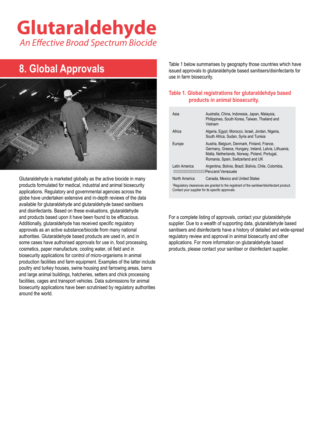### **8. Global Approvals**



Glutaraldehyde is marketed globally as the active biocide in many products formulated for medical, industrial and animal biosecurity applications. Regulatory and governmental agencies across the globe have undertaken extensive and in-depth reviews of the data available for glutaraldehyde and glutaraldehyde based sanitisers and disinfectants. Based on these evaluations, glutaraldehyde and products based upon it have been found to be efficacious. Additionally, glutaraldehyde has received specific regulatory approvals as an active substance/biocide from many national authorities. Glutaraldehyde based products are used in, and in some cases have authorised approvals for use in, food processing, cosmetics, paper manufacture, cooling water, oil field and in biosecurity applications for control of micro-organisms in animal production facilities and farm equipment. Examples of the latter include poultry and turkey houses, swine housing and farrowing areas, barns and large animal buildings, hatcheries, setters and chick processing facilities, cages and transport vehicles. Data submissions for animal biosecurity applications have been scrutinised by regulatory authorities around the world.

Table 1 below summarises by geography those countries which have issued approvals to glutaraldehyde based sanitisers/disinfectants for use in farm biosecurity.

#### **Table 1. Global registrations for glutaraldehdye based products in animal biosecurity.**

| Asia                                                                                                                                                         | Australia, China, Indonesia, Japan, Malaysia,<br>Philippines, South Korea, Taiwan, Thailand and<br>Vietnam                                                                                  |  |
|--------------------------------------------------------------------------------------------------------------------------------------------------------------|---------------------------------------------------------------------------------------------------------------------------------------------------------------------------------------------|--|
| Africa                                                                                                                                                       | Algeria, Egypt, Morocco, Israel, Jordan, Nigeria,<br>South Africa, Sudan, Syria and Tunisia                                                                                                 |  |
| Europe                                                                                                                                                       | Austria, Belgium, Denmark, Finland, France,<br>Germany, Greece, Hungary, Ireland, Latvia, Lithuania,<br>Malta, Netherlands, Norway, Poland, Portugal,<br>Romania, Spain, Switzerland and UK |  |
| Latin America                                                                                                                                                | Argentina, Bolivia, Brazil, Bolivia, Chile, Colombia,<br>Peru and Venezuela                                                                                                                 |  |
| North America                                                                                                                                                | Canada. Mexico and United States                                                                                                                                                            |  |
| <sup>1</sup> Regulatory clearances are granted to the registrant of the sanitiser/disinfectant product.<br>Contact your supplier for its specific approvals. |                                                                                                                                                                                             |  |

For a complete listing of approvals, contact your glutaraldehyde supplier. Due to a wealth of supporting data, glutaraldehyde based sanitisers and disinfectants have a history of detailed and wide-spread regulatory review and approval in animal biosecurity and other applications. For more information on glutaraldehyde based products, please contact your sanitiser or disinfectant supplier.